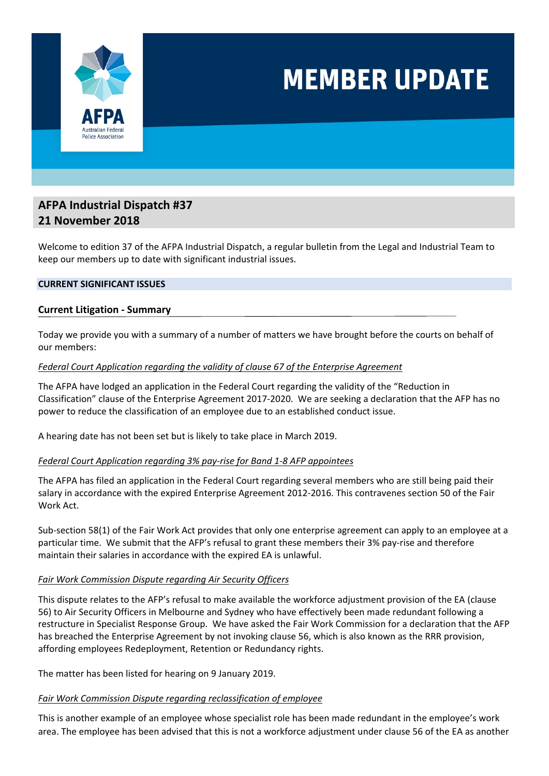

## **MEMBER UPDATE**

## **AFPA Industrial Dispatch #37 21 November 2018**

Welcome to edition 37 of the AFPA Industrial Dispatch, a regular bulletin from the Legal and Industrial Team to keep our members up to date with significant industrial issues.

#### **CURRENT SIGNIFICANT ISSUES**

#### **Current Litigation ‐ Summary**

Today we provide you with a summary of a number of matters we have brought before the courts on behalf of our members:

#### *Federal Court Application regarding the validity of clause 67 of the Enterprise Agreement*

The AFPA have lodged an application in the Federal Court regarding the validity of the "Reduction in Classification" clause of the Enterprise Agreement 2017‐2020. We are seeking a declaration that the AFP has no power to reduce the classification of an employee due to an established conduct issue.

A hearing date has not been set but is likely to take place in March 2019.

#### *Federal Court Application regarding 3% pay‐rise for Band 1‐8 AFP appointees*

The AFPA has filed an application in the Federal Court regarding several members who are still being paid their salary in accordance with the expired Enterprise Agreement 2012‐2016. This contravenes section 50 of the Fair Work Act.

Sub‐section 58(1) of the Fair Work Act provides that only one enterprise agreement can apply to an employee at a particular time. We submit that the AFP's refusal to grant these members their 3% pay‐rise and therefore maintain their salaries in accordance with the expired EA is unlawful.

#### *Fair Work Commission Dispute regarding Air Security Officers*

This dispute relates to the AFP's refusal to make available the workforce adjustment provision of the EA (clause 56) to Air Security Officers in Melbourne and Sydney who have effectively been made redundant following a restructure in Specialist Response Group. We have asked the Fair Work Commission for a declaration that the AFP has breached the Enterprise Agreement by not invoking clause 56, which is also known as the RRR provision, affording employees Redeployment, Retention or Redundancy rights.

The matter has been listed for hearing on 9 January 2019.

#### *Fair Work Commission Dispute regarding reclassification of employee*

This is another example of an employee whose specialist role has been made redundant in the employee's work area. The employee has been advised that this is not a workforce adjustment under clause 56 of the EA as another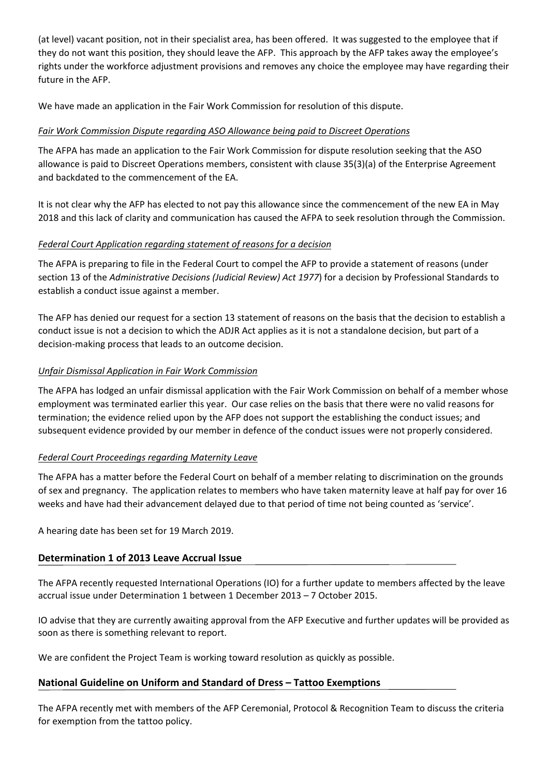(at level) vacant position, not in their specialist area, has been offered. It was suggested to the employee that if they do not want this position, they should leave the AFP. This approach by the AFP takes away the employee's rights under the workforce adjustment provisions and removes any choice the employee may have regarding their future in the AFP.

We have made an application in the Fair Work Commission for resolution of this dispute.

### *Fair Work Commission Dispute regarding ASO Allowance being paid to Discreet Operations*

The AFPA has made an application to the Fair Work Commission for dispute resolution seeking that the ASO allowance is paid to Discreet Operations members, consistent with clause 35(3)(a) of the Enterprise Agreement and backdated to the commencement of the EA.

It is not clear why the AFP has elected to not pay this allowance since the commencement of the new EA in May 2018 and this lack of clarity and communication has caused the AFPA to seek resolution through the Commission.

### *Federal Court Application regarding statement of reasons for a decision*

The AFPA is preparing to file in the Federal Court to compel the AFP to provide a statement of reasons (under section 13 of the *Administrative Decisions (Judicial Review) Act 1977*) for a decision by Professional Standards to establish a conduct issue against a member.

The AFP has denied our request for a section 13 statement of reasons on the basis that the decision to establish a conduct issue is not a decision to which the ADJR Act applies as it is not a standalone decision, but part of a decision‐making process that leads to an outcome decision.

### *Unfair Dismissal Application in Fair Work Commission*

The AFPA has lodged an unfair dismissal application with the Fair Work Commission on behalf of a member whose employment was terminated earlier this year. Our case relies on the basis that there were no valid reasons for termination; the evidence relied upon by the AFP does not support the establishing the conduct issues; and subsequent evidence provided by our member in defence of the conduct issues were not properly considered.

## *Federal Court Proceedings regarding Maternity Leave*

The AFPA has a matter before the Federal Court on behalf of a member relating to discrimination on the grounds of sex and pregnancy. The application relates to members who have taken maternity leave at half pay for over 16 weeks and have had their advancement delayed due to that period of time not being counted as 'service'.

A hearing date has been set for 19 March 2019.

## **Determination 1 of 2013 Leave Accrual Issue**

The AFPA recently requested International Operations (IO) for a further update to members affected by the leave accrual issue under Determination 1 between 1 December 2013 – 7 October 2015.

IO advise that they are currently awaiting approval from the AFP Executive and further updates will be provided as soon as there is something relevant to report.

We are confident the Project Team is working toward resolution as quickly as possible.

## **National Guideline on Uniform and Standard of Dress – Tattoo Exemptions**

The AFPA recently met with members of the AFP Ceremonial, Protocol & Recognition Team to discuss the criteria for exemption from the tattoo policy.